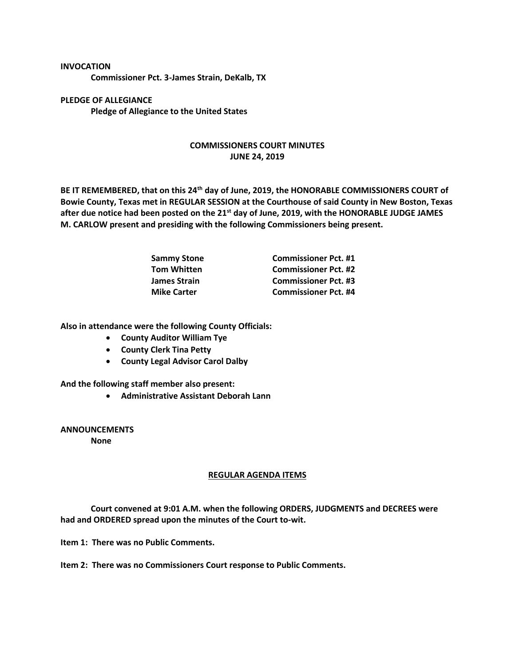## **INVOCATION**

**Commissioner Pct. 3-James Strain, DeKalb, TX**

**PLEDGE OF ALLEGIANCE Pledge of Allegiance to the United States**

## **COMMISSIONERS COURT MINUTES JUNE 24, 2019**

**BE IT REMEMBERED, that on this 24th day of June, 2019, the HONORABLE COMMISSIONERS COURT of Bowie County, Texas met in REGULAR SESSION at the Courthouse of said County in New Boston, Texas after due notice had been posted on the 21st day of June, 2019, with the HONORABLE JUDGE JAMES M. CARLOW present and presiding with the following Commissioners being present.**

| <b>Sammy Stone</b> | <b>Commissioner Pct. #1</b> |
|--------------------|-----------------------------|
| <b>Tom Whitten</b> | <b>Commissioner Pct. #2</b> |
| James Strain       | <b>Commissioner Pct. #3</b> |
| <b>Mike Carter</b> | <b>Commissioner Pct. #4</b> |

**Also in attendance were the following County Officials:**

- **County Auditor William Tye**
- **County Clerk Tina Petty**
- **County Legal Advisor Carol Dalby**

**And the following staff member also present:**

• **Administrative Assistant Deborah Lann**

**ANNOUNCEMENTS None**

## **REGULAR AGENDA ITEMS**

**Court convened at 9:01 A.M. when the following ORDERS, JUDGMENTS and DECREES were had and ORDERED spread upon the minutes of the Court to-wit.**

**Item 1: There was no Public Comments.**

**Item 2: There was no Commissioners Court response to Public Comments.**